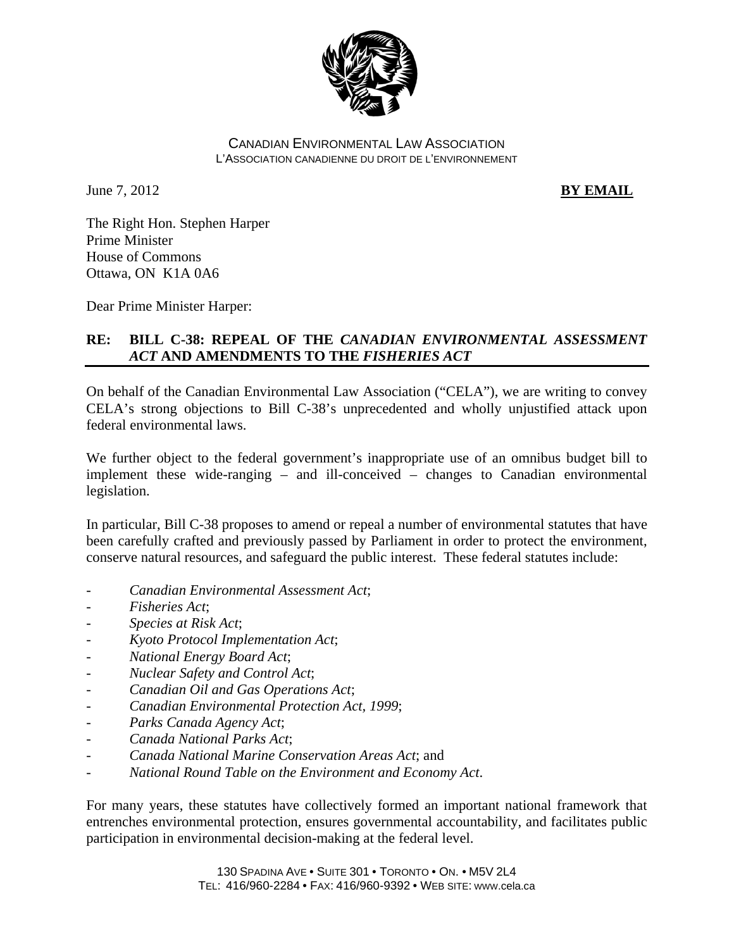

#### CANADIAN ENVIRONMENTAL LAW ASSOCIATION L'ASSOCIATION CANADIENNE DU DROIT DE L'ENVIRONNEMENT

**June 7, 2012 BY EMAIL** 

The Right Hon. Stephen Harper Prime Minister House of Commons Ottawa, ON K1A 0A6

Dear Prime Minister Harper:

# **RE: BILL C-38: REPEAL OF THE** *CANADIAN ENVIRONMENTAL ASSESSMENT ACT* **AND AMENDMENTS TO THE** *FISHERIES ACT*

On behalf of the Canadian Environmental Law Association ("CELA"), we are writing to convey CELA's strong objections to Bill C-38's unprecedented and wholly unjustified attack upon federal environmental laws.

We further object to the federal government's inappropriate use of an omnibus budget bill to implement these wide-ranging – and ill-conceived – changes to Canadian environmental legislation.

In particular, Bill C-38 proposes to amend or repeal a number of environmental statutes that have been carefully crafted and previously passed by Parliament in order to protect the environment, conserve natural resources, and safeguard the public interest. These federal statutes include:

- *Canadian Environmental Assessment Act*;
- *Fisheries Act*;
- *Species at Risk Act*;
- *Kyoto Protocol Implementation Act*;
- *National Energy Board Act*;
- *Nuclear Safety and Control Act*;
- *Canadian Oil and Gas Operations Act*;
- *Canadian Environmental Protection Act, 1999*;
- *Parks Canada Agency Act*;
- *Canada National Parks Act*;
- *Canada National Marine Conservation Areas Act*; and
- *National Round Table on the Environment and Economy Act*.

For many years, these statutes have collectively formed an important national framework that entrenches environmental protection, ensures governmental accountability, and facilitates public participation in environmental decision-making at the federal level.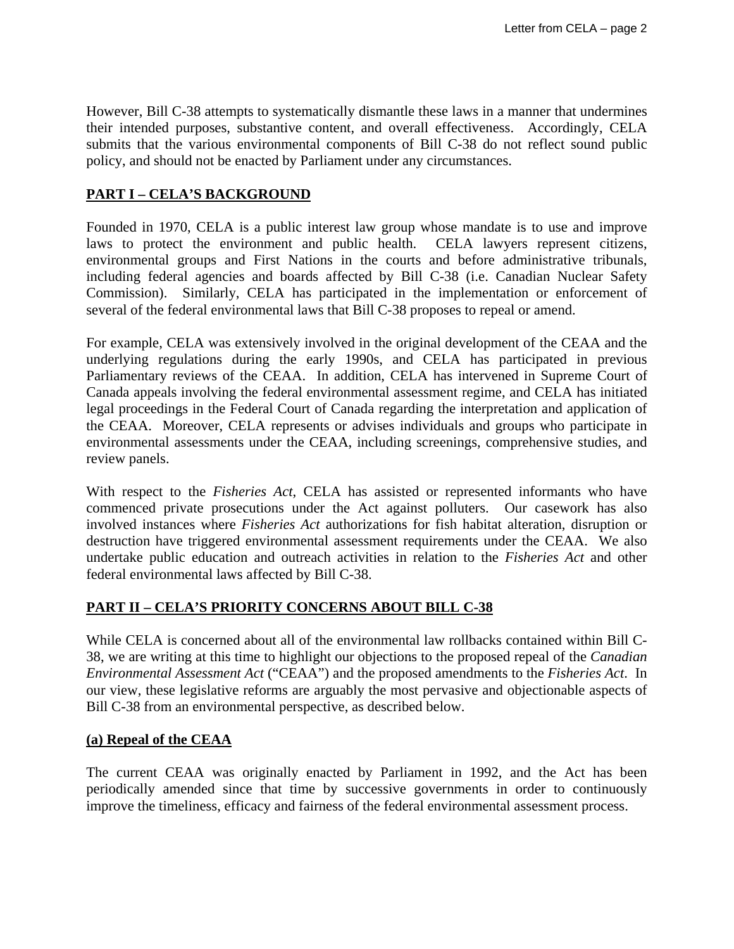However, Bill C-38 attempts to systematically dismantle these laws in a manner that undermines their intended purposes, substantive content, and overall effectiveness. Accordingly, CELA submits that the various environmental components of Bill C-38 do not reflect sound public policy, and should not be enacted by Parliament under any circumstances.

### **PART I – CELA'S BACKGROUND**

Founded in 1970, CELA is a public interest law group whose mandate is to use and improve laws to protect the environment and public health. CELA lawyers represent citizens, environmental groups and First Nations in the courts and before administrative tribunals, including federal agencies and boards affected by Bill C-38 (i.e. Canadian Nuclear Safety Commission). Similarly, CELA has participated in the implementation or enforcement of several of the federal environmental laws that Bill C-38 proposes to repeal or amend.

For example, CELA was extensively involved in the original development of the CEAA and the underlying regulations during the early 1990s, and CELA has participated in previous Parliamentary reviews of the CEAA. In addition, CELA has intervened in Supreme Court of Canada appeals involving the federal environmental assessment regime, and CELA has initiated legal proceedings in the Federal Court of Canada regarding the interpretation and application of the CEAA. Moreover, CELA represents or advises individuals and groups who participate in environmental assessments under the CEAA, including screenings, comprehensive studies, and review panels.

With respect to the *Fisheries Act*, CELA has assisted or represented informants who have commenced private prosecutions under the Act against polluters. Our casework has also involved instances where *Fisheries Act* authorizations for fish habitat alteration, disruption or destruction have triggered environmental assessment requirements under the CEAA. We also undertake public education and outreach activities in relation to the *Fisheries Act* and other federal environmental laws affected by Bill C-38.

## **PART II – CELA'S PRIORITY CONCERNS ABOUT BILL C-38**

While CELA is concerned about all of the environmental law rollbacks contained within Bill C-38, we are writing at this time to highlight our objections to the proposed repeal of the *Canadian Environmental Assessment Act* ("CEAA") and the proposed amendments to the *Fisheries Act*. In our view, these legislative reforms are arguably the most pervasive and objectionable aspects of Bill C-38 from an environmental perspective, as described below.

#### **(a) Repeal of the CEAA**

The current CEAA was originally enacted by Parliament in 1992, and the Act has been periodically amended since that time by successive governments in order to continuously improve the timeliness, efficacy and fairness of the federal environmental assessment process.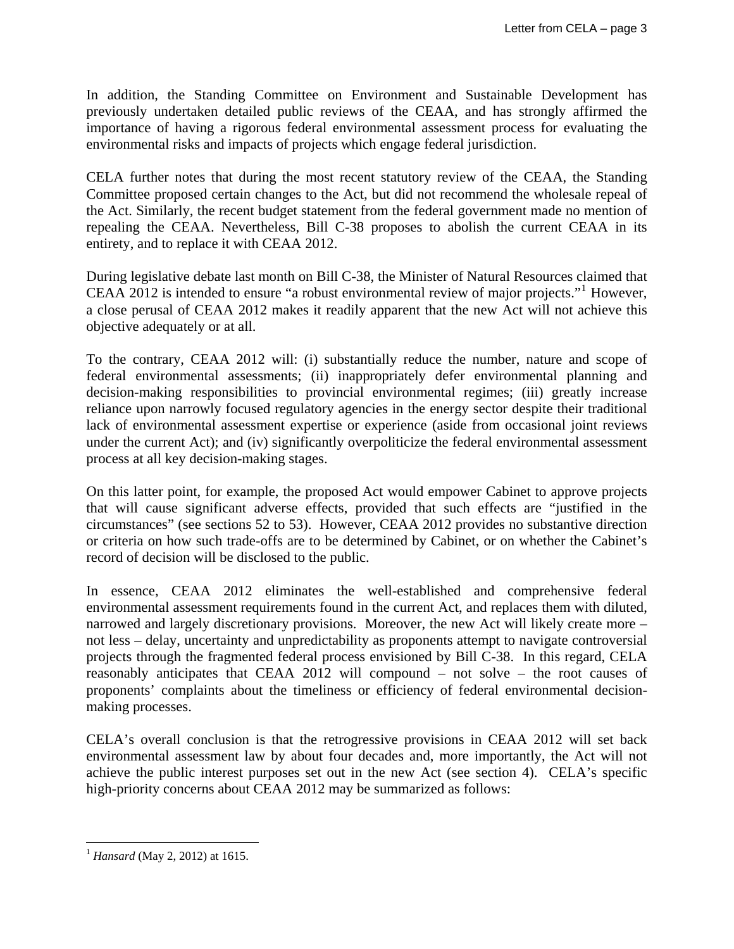In addition, the Standing Committee on Environment and Sustainable Development has previously undertaken detailed public reviews of the CEAA, and has strongly affirmed the importance of having a rigorous federal environmental assessment process for evaluating the environmental risks and impacts of projects which engage federal jurisdiction.

CELA further notes that during the most recent statutory review of the CEAA, the Standing Committee proposed certain changes to the Act, but did not recommend the wholesale repeal of the Act. Similarly, the recent budget statement from the federal government made no mention of repealing the CEAA. Nevertheless, Bill C-38 proposes to abolish the current CEAA in its entirety, and to replace it with CEAA 2012.

During legislative debate last month on Bill C-38, the Minister of Natural Resources claimed that CEAA 20[1](#page-2-0)2 is intended to ensure "a robust environmental review of major projects."<sup>1</sup> However, a close perusal of CEAA 2012 makes it readily apparent that the new Act will not achieve this objective adequately or at all.

To the contrary, CEAA 2012 will: (i) substantially reduce the number, nature and scope of federal environmental assessments; (ii) inappropriately defer environmental planning and decision-making responsibilities to provincial environmental regimes; (iii) greatly increase reliance upon narrowly focused regulatory agencies in the energy sector despite their traditional lack of environmental assessment expertise or experience (aside from occasional joint reviews under the current Act); and (iv) significantly overpoliticize the federal environmental assessment process at all key decision-making stages.

On this latter point, for example, the proposed Act would empower Cabinet to approve projects that will cause significant adverse effects, provided that such effects are "justified in the circumstances" (see sections 52 to 53). However, CEAA 2012 provides no substantive direction or criteria on how such trade-offs are to be determined by Cabinet, or on whether the Cabinet's record of decision will be disclosed to the public.

In essence, CEAA 2012 eliminates the well-established and comprehensive federal environmental assessment requirements found in the current Act, and replaces them with diluted, narrowed and largely discretionary provisions. Moreover, the new Act will likely create more – not less – delay, uncertainty and unpredictability as proponents attempt to navigate controversial projects through the fragmented federal process envisioned by Bill C-38. In this regard, CELA reasonably anticipates that CEAA 2012 will compound – not solve – the root causes of proponents' complaints about the timeliness or efficiency of federal environmental decisionmaking processes.

CELA's overall conclusion is that the retrogressive provisions in CEAA 2012 will set back environmental assessment law by about four decades and, more importantly, the Act will not achieve the public interest purposes set out in the new Act (see section 4). CELA's specific high-priority concerns about CEAA 2012 may be summarized as follows:

<span id="page-2-0"></span> $\overline{a}$ <sup>1</sup> *Hansard* (May 2, 2012) at 1615.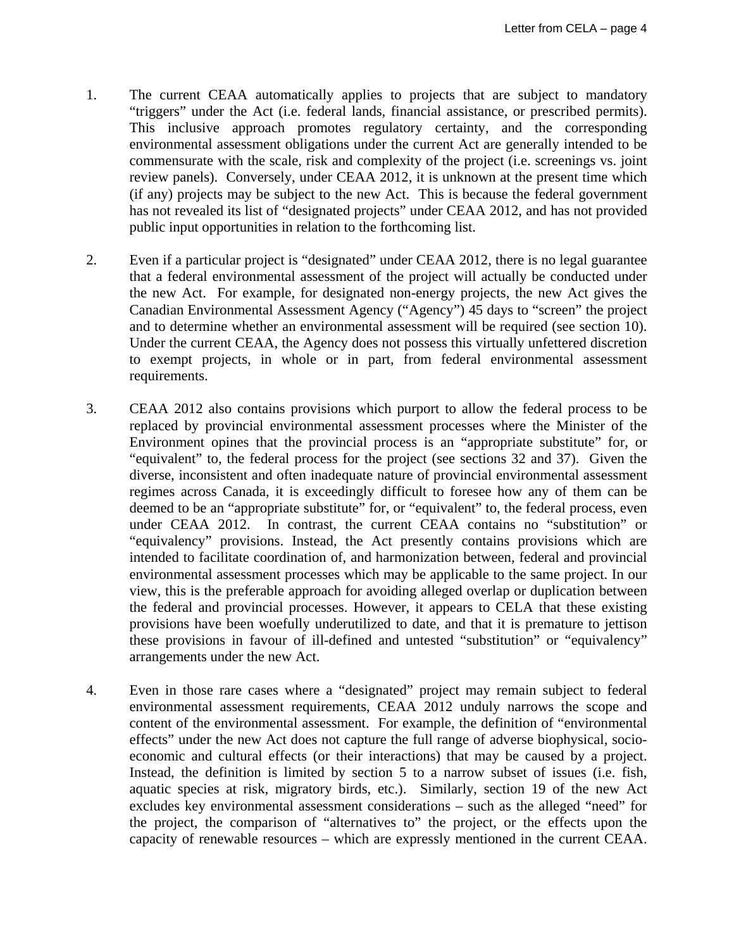- 1. The current CEAA automatically applies to projects that are subject to mandatory "triggers" under the Act (i.e. federal lands, financial assistance, or prescribed permits). This inclusive approach promotes regulatory certainty, and the corresponding environmental assessment obligations under the current Act are generally intended to be commensurate with the scale, risk and complexity of the project (i.e. screenings vs. joint review panels). Conversely, under CEAA 2012, it is unknown at the present time which (if any) projects may be subject to the new Act. This is because the federal government has not revealed its list of "designated projects" under CEAA 2012, and has not provided public input opportunities in relation to the forthcoming list.
- 2. Even if a particular project is "designated" under CEAA 2012, there is no legal guarantee that a federal environmental assessment of the project will actually be conducted under the new Act. For example, for designated non-energy projects, the new Act gives the Canadian Environmental Assessment Agency ("Agency") 45 days to "screen" the project and to determine whether an environmental assessment will be required (see section 10). Under the current CEAA, the Agency does not possess this virtually unfettered discretion to exempt projects, in whole or in part, from federal environmental assessment requirements.
- 3. CEAA 2012 also contains provisions which purport to allow the federal process to be replaced by provincial environmental assessment processes where the Minister of the Environment opines that the provincial process is an "appropriate substitute" for, or "equivalent" to, the federal process for the project (see sections 32 and 37). Given the diverse, inconsistent and often inadequate nature of provincial environmental assessment regimes across Canada, it is exceedingly difficult to foresee how any of them can be deemed to be an "appropriate substitute" for, or "equivalent" to, the federal process, even under CEAA 2012. In contrast, the current CEAA contains no "substitution" or "equivalency" provisions. Instead, the Act presently contains provisions which are intended to facilitate coordination of, and harmonization between, federal and provincial environmental assessment processes which may be applicable to the same project. In our view, this is the preferable approach for avoiding alleged overlap or duplication between the federal and provincial processes. However, it appears to CELA that these existing provisions have been woefully underutilized to date, and that it is premature to jettison these provisions in favour of ill-defined and untested "substitution" or "equivalency" arrangements under the new Act.
- 4. Even in those rare cases where a "designated" project may remain subject to federal environmental assessment requirements, CEAA 2012 unduly narrows the scope and content of the environmental assessment. For example, the definition of "environmental effects" under the new Act does not capture the full range of adverse biophysical, socioeconomic and cultural effects (or their interactions) that may be caused by a project. Instead, the definition is limited by section 5 to a narrow subset of issues (i.e. fish, aquatic species at risk, migratory birds, etc.). Similarly, section 19 of the new Act excludes key environmental assessment considerations – such as the alleged "need" for the project, the comparison of "alternatives to" the project, or the effects upon the capacity of renewable resources – which are expressly mentioned in the current CEAA.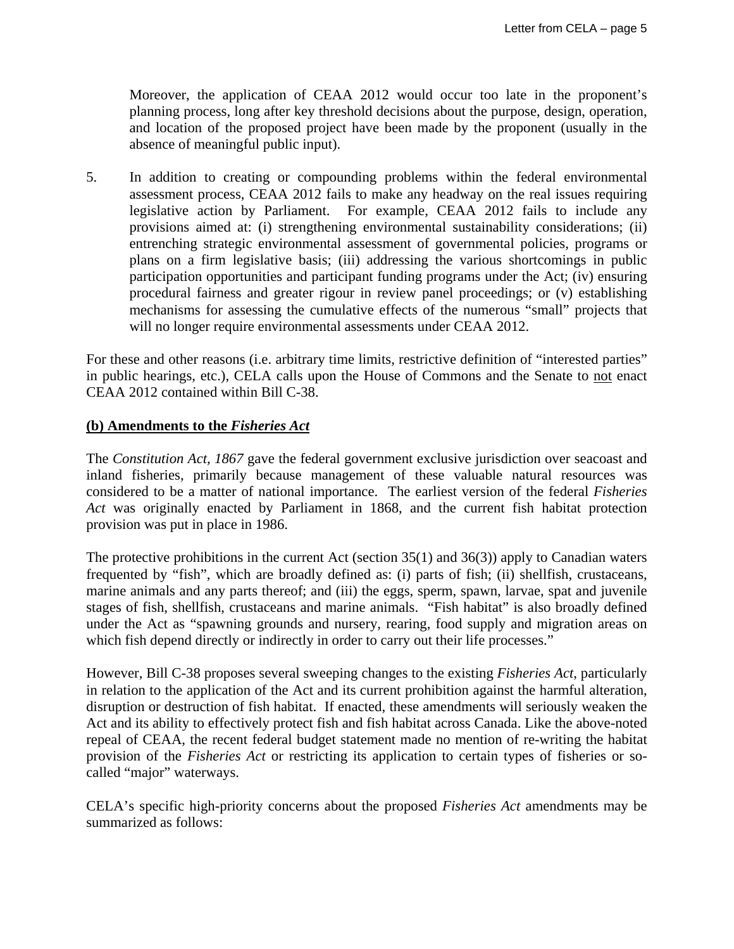Moreover, the application of CEAA 2012 would occur too late in the proponent's planning process, long after key threshold decisions about the purpose, design, operation, and location of the proposed project have been made by the proponent (usually in the absence of meaningful public input).

5. In addition to creating or compounding problems within the federal environmental assessment process, CEAA 2012 fails to make any headway on the real issues requiring legislative action by Parliament. For example, CEAA 2012 fails to include any provisions aimed at: (i) strengthening environmental sustainability considerations; (ii) entrenching strategic environmental assessment of governmental policies, programs or plans on a firm legislative basis; (iii) addressing the various shortcomings in public participation opportunities and participant funding programs under the Act; (iv) ensuring procedural fairness and greater rigour in review panel proceedings; or (v) establishing mechanisms for assessing the cumulative effects of the numerous "small" projects that will no longer require environmental assessments under CEAA 2012.

For these and other reasons (i.e. arbitrary time limits, restrictive definition of "interested parties" in public hearings, etc.), CELA calls upon the House of Commons and the Senate to not enact CEAA 2012 contained within Bill C-38.

#### **(b) Amendments to the** *Fisheries Act*

The *Constitution Act, 1867* gave the federal government exclusive jurisdiction over seacoast and inland fisheries, primarily because management of these valuable natural resources was considered to be a matter of national importance. The earliest version of the federal *Fisheries Act* was originally enacted by Parliament in 1868, and the current fish habitat protection provision was put in place in 1986.

The protective prohibitions in the current Act (section 35(1) and 36(3)) apply to Canadian waters frequented by "fish", which are broadly defined as: (i) parts of fish; (ii) shellfish, crustaceans, marine animals and any parts thereof; and (iii) the eggs, sperm, spawn, larvae, spat and juvenile stages of fish, shellfish, crustaceans and marine animals."Fish habitat" is also broadly defined under the Act as "spawning grounds and nursery, rearing, food supply and migration areas on which fish depend directly or indirectly in order to carry out their life processes."

However, Bill C-38 proposes several sweeping changes to the existing *Fisheries Act*, particularly in relation to the application of the Act and its current prohibition against the harmful alteration, disruption or destruction of fish habitat. If enacted, these amendments will seriously weaken the Act and its ability to effectively protect fish and fish habitat across Canada. Like the above-noted repeal of CEAA, the recent federal budget statement made no mention of re-writing the habitat provision of the *Fisheries Act* or restricting its application to certain types of fisheries or socalled "major" waterways.

CELA's specific high-priority concerns about the proposed *Fisheries Act* amendments may be summarized as follows: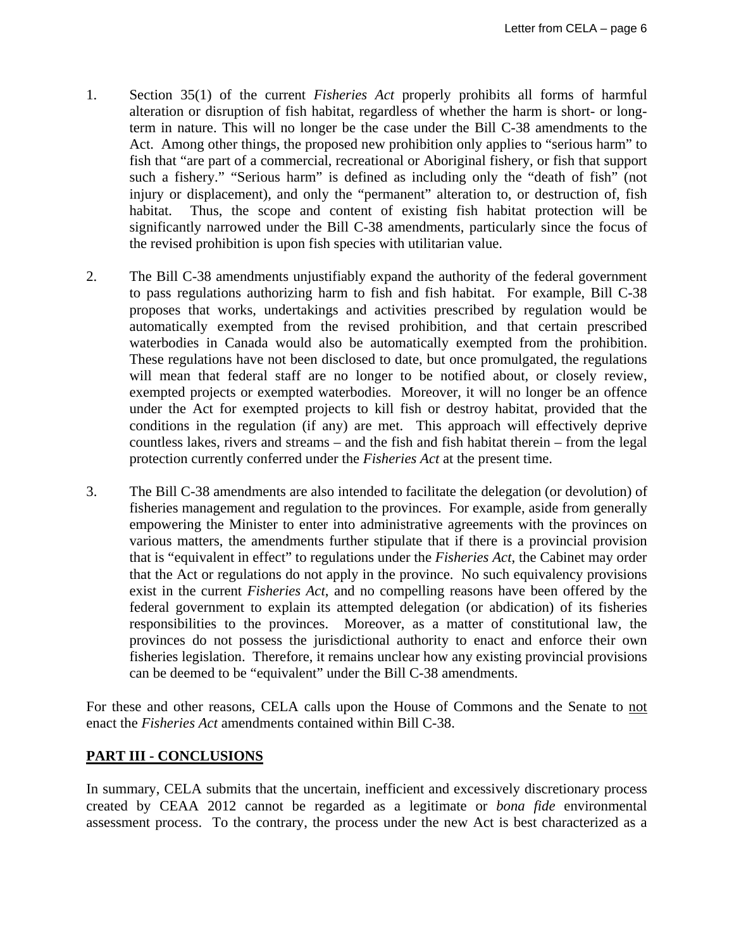- 1. Section 35(1) of the current *Fisheries Act* properly prohibits all forms of harmful alteration or disruption of fish habitat, regardless of whether the harm is short- or longterm in nature. This will no longer be the case under the Bill C-38 amendments to the Act. Among other things, the proposed new prohibition only applies to "serious harm" to fish that "are part of a commercial, recreational or Aboriginal fishery, or fish that support such a fishery." "Serious harm" is defined as including only the "death of fish" (not injury or displacement), and only the "permanent" alteration to, or destruction of, fish habitat. Thus, the scope and content of existing fish habitat protection will be significantly narrowed under the Bill C-38 amendments, particularly since the focus of the revised prohibition is upon fish species with utilitarian value.
- 2. The Bill C-38 amendments unjustifiably expand the authority of the federal government to pass regulations authorizing harm to fish and fish habitat. For example, Bill C-38 proposes that works, undertakings and activities prescribed by regulation would be automatically exempted from the revised prohibition, and that certain prescribed waterbodies in Canada would also be automatically exempted from the prohibition. These regulations have not been disclosed to date, but once promulgated, the regulations will mean that federal staff are no longer to be notified about, or closely review, exempted projects or exempted waterbodies. Moreover, it will no longer be an offence under the Act for exempted projects to kill fish or destroy habitat, provided that the conditions in the regulation (if any) are met. This approach will effectively deprive countless lakes, rivers and streams – and the fish and fish habitat therein – from the legal protection currently conferred under the *Fisheries Act* at the present time.
- 3. The Bill C-38 amendments are also intended to facilitate the delegation (or devolution) of fisheries management and regulation to the provinces. For example, aside from generally empowering the Minister to enter into administrative agreements with the provinces on various matters, the amendments further stipulate that if there is a provincial provision that is "equivalent in effect" to regulations under the *Fisheries Act*, the Cabinet may order that the Act or regulations do not apply in the province. No such equivalency provisions exist in the current *Fisheries Act*, and no compelling reasons have been offered by the federal government to explain its attempted delegation (or abdication) of its fisheries responsibilities to the provinces. Moreover, as a matter of constitutional law, the provinces do not possess the jurisdictional authority to enact and enforce their own fisheries legislation. Therefore, it remains unclear how any existing provincial provisions can be deemed to be "equivalent" under the Bill C-38 amendments.

For these and other reasons, CELA calls upon the House of Commons and the Senate to not enact the *Fisheries Act* amendments contained within Bill C-38.

### **PART III - CONCLUSIONS**

In summary, CELA submits that the uncertain, inefficient and excessively discretionary process created by CEAA 2012 cannot be regarded as a legitimate or *bona fide* environmental assessment process. To the contrary, the process under the new Act is best characterized as a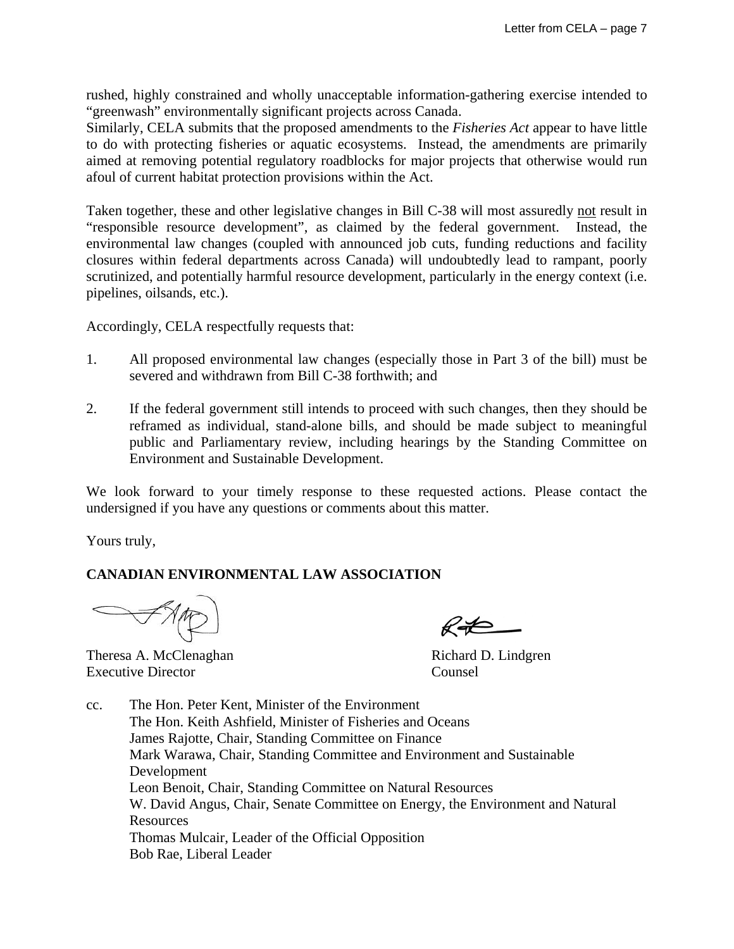rushed, highly constrained and wholly unacceptable information-gathering exercise intended to "greenwash" environmentally significant projects across Canada.

Similarly, CELA submits that the proposed amendments to the *Fisheries Act* appear to have little to do with protecting fisheries or aquatic ecosystems. Instead, the amendments are primarily aimed at removing potential regulatory roadblocks for major projects that otherwise would run afoul of current habitat protection provisions within the Act.

Taken together, these and other legislative changes in Bill C-38 will most assuredly not result in "responsible resource development", as claimed by the federal government. Instead, the environmental law changes (coupled with announced job cuts, funding reductions and facility closures within federal departments across Canada) will undoubtedly lead to rampant, poorly scrutinized, and potentially harmful resource development, particularly in the energy context (i.e. pipelines, oilsands, etc.).

Accordingly, CELA respectfully requests that:

- 1. All proposed environmental law changes (especially those in Part 3 of the bill) must be severed and withdrawn from Bill C-38 forthwith; and
- 2. If the federal government still intends to proceed with such changes, then they should be reframed as individual, stand-alone bills, and should be made subject to meaningful public and Parliamentary review, including hearings by the Standing Committee on Environment and Sustainable Development.

We look forward to your timely response to these requested actions. Please contact the undersigned if you have any questions or comments about this matter.

Yours truly,

## **CANADIAN ENVIRONMENTAL LAW ASSOCIATION**

Theresa A. McClenaghan Richard D. Lindgren Executive Director Counsel

cc. The Hon. Peter Kent, Minister of the Environment The Hon. Keith Ashfield, Minister of Fisheries and Oceans James Rajotte, Chair, Standing Committee on Finance Mark Warawa, Chair, Standing Committee and Environment and Sustainable Development Leon Benoit, Chair, Standing Committee on Natural Resources W. David Angus, Chair, Senate Committee on Energy, the Environment and Natural **Resources**  Thomas Mulcair, Leader of the Official Opposition Bob Rae, Liberal Leader